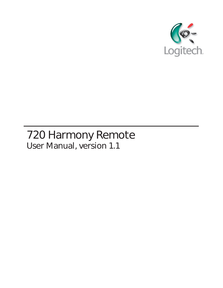

# **720 Harmony Remote User Manual, version 1.1**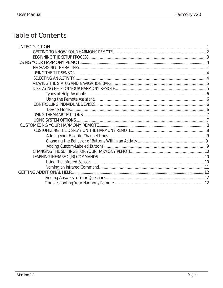## **Table of Contents**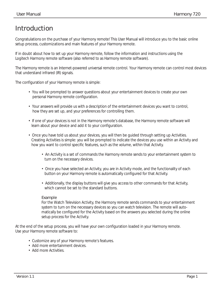## <span id="page-2-0"></span>**Introduction**

Congratulations on the purchase of your Harmony remote! This User Manual will introduce you to the basic online setup process, customizations and main features of your Harmony remote.

If in doubt about how to set up your Harmony remote, follow the information and instructions using the Logitech Harmony remote software (also referred to as Harmony remote software).

The Harmony remote is an Internet-powered universal remote control. Your Harmony remote can control most devices that understand infrared (IR) signals.

The configuration of your Harmony remote is simple:

- You will be prompted to answer questions about your entertainment devices to create your own personal Harmony remote configuration.
- Your answers will provide us with a description of the entertainment devices you want to control, how they are set up, and your preferences for controlling them.
- If one of your devices is not in the Harmony remote's database, the Harmony remote software will learn about your device and add it to your configuration.
- Once you have told us about your devices, you will then be guided through setting up Activities. Creating Activities is simple: you will be prompted to indicate the devices you use within an Activity and how you want to control specific features, such as the volume, within that Activity.
	- An Activity is a set of commands the Harmony remote sends to your entertainment system to turn on the necessary devices.
	- Once you have selected an Activity, you are in Activity mode, and the functionality of each button on your Harmony remote is automatically configured for that Activity.
	- Additionally, the display buttons will give you access to other commands for that Activity, which cannot be set to the standard buttons.

#### Example

 For the Watch Television Activity, the Harmony remote sends commands to your entertainment system to turn on the necessary devices so you can watch television. The remote will auto matically be configured for the Activity based on the answers you selected during the online setup process for the Activity.

At the end of the setup process, you will have your own configuration loaded in your Harmony remote. Use your Harmony remote software to:

- Customize any of your Harmony remote's features.
- Add more entertainment devices.
- Add more Activities.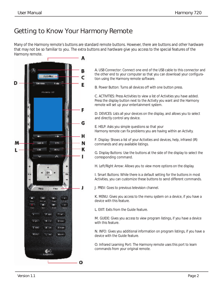## <span id="page-3-0"></span>**Getting to Know Your Harmony Remote**

Many of the Harmony remote's buttons are standard remote buttons. However, there are buttons and other hardware that may not be so familiar to you. The extra buttons and hardware give you access to the special features of the Harmony remote.



**A.** USB Connector: Connect one end of the USB cable to this connector and the other end to your computer so that you can download your configuration using the Harmony remote software.

**B**. Power Button: Turns all devices off with one button press.

**C**. ACTIVITIES: Press Activities to view a list of Activities you have added. Press the display button next to the Activity you want and the Harmony remote will set up your entertainment system.

**D**. DEVICES: Lists all your devices on the display, and allows you to select and directly control any device.

E. HELP: Asks you simple questions so that your Harmony remote can fix problems you are having within an Activity.

**F**. Display: Shows a list of your Activities and devices, help, infrared (IR) commands and any available listings.

**G**. Display Buttons: Use the buttons at the side of the display to select the corresponding command.

**H**. Left/Right Arrow: Allows you to view more options on the display.

**I**. Smart Buttons: While there is a default setting for the buttons in most Activities, you can customize these buttons to send different commands.

**J**. PREV: Goes to previous television channel.

**K**. MENU: Gives you access to the menu system on a device, if you have a device with this feature.

**L**. EXIT: Exits from the Guide feature.

**M**. GUIDE: Gives you access to view program listings, if you have a device with this feature.

**N**. INFO: Gives you additional information on program listings, if you have a device with the Guide feature.

**O**. Infrared Learning Port: The Harmony remote uses this port to learn commands from your original remote.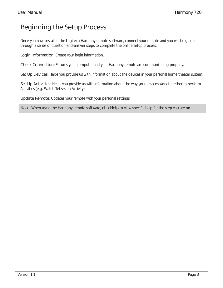## <span id="page-4-0"></span>**Beginning the Setup Process**

Once you have installed the Logitech Harmony remote software, connect your remote and you will be guided through a series of question-and-answer steps to complete the online setup process:

**Login Information:** Create your login information.

**Check Connection:** Ensures your computer and your Harmony remote are communicating properly.

Set Up Devices: Helps you provide us with information about the devices in your personal home theater system.

**Set Up Activities:** Helps you provide us with information about the way your devices work together to perform Activities (e.g. Watch Television Activity).

**Update Remote:** Updates your remote with your personal settings.

**Note:** When using the Harmony remote software, click **Help** to view specific help for the step you are on.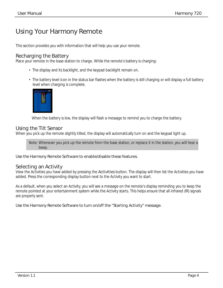## <span id="page-5-0"></span>**Using Your Harmony Remote**

This section provides you with information that will help you use your remote.

### Recharging the Battery

Place your remote in the base station to charge. While the remote's battery is charging:

- The display and its backlight, and the keypad backlight remain on.
- The battery level icon in the status bar flashes when the battery is still charging or will display a full battery level when charging is complete.



When the battery is low, the display will flash a message to remind you to charge the battery.

### Using the Tilt Sensor

When you pick up the remote slightly tilted, the display will automatically turn on and the keypad light up.

 Note: Whenever you pick up the remote from the base station, or replace it in the station, you will hear a beep.

Use the Harmony Remote Software to enable/disable these features.

### Selecting an Activity

View the Activities you have added by pressing the Activities button. The display will then list the Activities you have added. Press the corresponding display button next to the Activity you want to start.

As a default, when you select an Activity, you will see a message on the remote's display reminding you to keep the remote pointed at your entertainment system while the Activity starts. This helps ensure that all infrared (IR) signals are properly sent.

Use the Harmony Remote Software to turn on/off the "Starting Activity" message.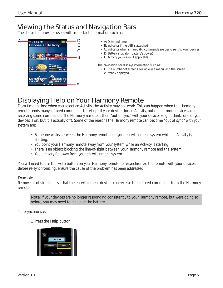## <span id="page-6-0"></span>**Viewing the Status and Navigation Bars**

The status bar provides users with important information such as:



- **A**: Date and time
- **B:** Indicator if the USB is attached
- **C:** Indicator when infrared (IR) commands are being sent to your devices
- D: Battery indicator (battery's power)
- **E:** Activity you are in (if applicable)

The navigation bar displays information such as:

 • **F:** The number of screens available in a menu, and the screen currently displayed

## **Displaying Help on Your Harmony Remote**

From time to time when you select an Activity, the Activity may not work. This can happen when the Harmony remote sends many infrared commands to set up all your devices for an Activity, but one or more devices are not receiving some commands. The Harmony remote is then "out of sync" with your devices (e.g. it thinks one of your devices is on, but it is actually off). Some of the reasons the Harmony remote can become "out of sync" with your system are:

- Someone walks between the Harmony remote and your entertainment system while an Activity is starting.
- You point your Harmony remote away from your system while an Activity is starting.
- There is an object blocking the line-of-sight between your Harmony remote and the system.
- You are very far away from your entertainment system.

You will need to use the Help button on your Harmony remote to resynchronize the remote with your devices. Before re-synchronizing, ensure the cause of the problem has been addressed.

#### Example

Remove all obstructions so that the entertainment devices can receive the infrared commands from the Harmony remote.

Note: If your devices are no longer responding consistently to your Harmony remote, but were doing so before, you may need to recharge the battery.

To resynchronize:

1. Press the Help button.

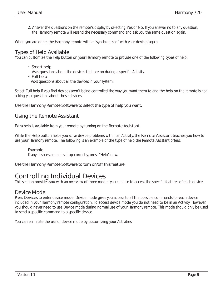<span id="page-7-0"></span>2. Answer the questions on the remote's display by selecting Yes or No. If you answer no to any question, the Harmony remote will resend the necessary command and ask you the same question again.

When you are done, the Harmony remote will be "synchronized" with your devices again.

## **Types of Help Available**

You can customize the Help button on your Harmony remote to provide one of the following types of help:

• Smart help

Asks questions about the devices that are on during a specific Activity.

 • Full help Asks questions about all the devices in your system.

Select Full help if you find devices aren't being controlled the way you want them to and the help on the remote is not asking you questions about these devices.

Use the Harmony Remote Software to select the type of help you want.

## **Using the Remote Assistant**

Extra help is available from your remote by turning on the Remote Assistant.

While the Help button helps you solve device problems within an Activity, the Remote Assistant teaches you how to use your Harmony remote. The following is an example of the type of help the Remote Assistant offers:

#### Example

If any devices are not set up correctly, press "Help" now.

Use the Harmony Remote Software to turn on/off this feature.

## **Controlling Individual Devices**

This section provides you with an overview of three modes you can use to access the specific features of each device.

### **Device Mode**

Press Devices to enter device mode. Device mode gives you access to all the possible commands for each device included in your Harmony remote configuration. To access device mode you do not need to be in an Activity. However, you should never need to use Device mode during normal use of your Harmony remote. This mode should only be used to send a specific command to a specific device.

You can eliminate the use of device mode by customizing your Activities.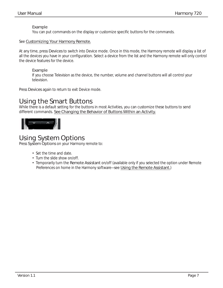#### <span id="page-8-0"></span>Example

You can put commands on the display or customize specific buttons for the commands.

#### See [Customizing Your Harmony Remote.](#page-9-0)

At any time, press Devices to switch into Device mode. Once in this mode, the Harmony remote will display a list of all the devices you have in your configuration. Select a device from the list and the Harmony remote will only control the device features for the device.

#### Example

 If you choose Television as the device, the number, volume and channel buttons will all control your television.

Press Devices again to return to exit Device mode.

## **Using the Smart Buttons**

While there is a default setting for the buttons in most Activities, you can customize these buttons to send different commands. [See Changing the Behavior of Buttons Within an Activity.](#page-10-0)



## **Using System Options**

Press System Options on your Harmony remote to:

- Set the time and date.
- Turn the slide show on/off.
- Temporarily turn the Remote Assistant on/off (available only if you selected the option under Remote Preferences on home in the Harmony software—see [Using the Remote Assistant.](#page-7-0))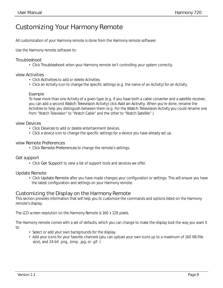## <span id="page-9-0"></span>**Customizing Your Harmony Remote**

All customization of your Harmony remote is done from the Harmony remote software:

Use the Harmony remote software to:

#### Troubleshoot

• Click Troubleshoot when your Harmony remote isn't controlling your system correctly.

#### view Activities

- Click Activities to add or delete Activities.
- Click an Activity icon to change the specific settings (e.g. the name of an Activity) for an Activity.

#### Example

 To have more than one Activity of a given type (e.g. If you have both a cable converter and a satellite receiver, you can add a second Watch Television Activity) click Add an Activity. When you're done, rename the Activities to help you distinguish between them (e.g. For the Watch Television Activity you could rename one from "Watch Television" to "Watch Cable" and the other to "Watch Satellite".)

#### view Devices

- Click Devices to add or delete entertainment devices.
- Click a device icon to change the specific settings for a device you have already set up.

#### view Remote Preferences

• Click Remote Preferences to change the remote's settings.

#### Get support

• Click Get Support to view a list of support tools and services we offer.

#### Update Remote

• Click Update Remote after you have made changes your configuration or settings. This will ensure you have the latest configuration and settings on your Harmony remote.

### **Customizing the Display on the Harmony Remote**

This section provides information that will help you to customize the commands and options listed on the Harmony remote's display.

The LCD screen resolution on the Harmony Remote is 160 x 128 pixels.

The Harmony remote comes with a set of defaults, which you can change to make the display look the way you want it to:

- Select or add your own backgrounds for the display.
- Add your icons for your favorite channels (you can upload your own icons up to a maximum of 160 KB (file size), and 24-bit .png, .bmp, .jpg, or .gif .)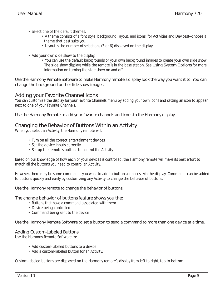- <span id="page-10-0"></span>• Select one of the default themes.
	- A theme consists of a font style, background, layout, and icons (for Activities and Devices)—choose a theme that best suits you.
	- Layout is the number of selections (3 or 6) displayed on the display
- Add your own slide show to the display.
	- You can use the default backgrounds or your own background images to create your own slide show. The slide show displays while the remote is in the base station. See [Using System Options](#page-8-0) for more information on turning the slide show on and off.

Use the Harmony Remote Software to make Harmony remote's display look the way you want it to. You can change the background or the slide show images.

### **Adding your Favorite Channel Icons**

You can customize the display for your Favorite Channels menu by adding your own icons and setting an icon to appear next to one of your Favorite Channels.

Use the Harmony Remote to add your favorite channels and icons to the Harmony display.

### **Changing the Behavior of Buttons Within an Activity**

When you select an Activity, the Harmony remote will:

- Turn on all the correct entertainment devices
- Set the device inputs correctly
- Set up the remote's buttons to control the Activity

Based on our knowledge of how each of your devices is controlled, the Harmony remote will make its best effort to match all the buttons you need to control an Activity.

However, there may be some commands you want to add to buttons or access via the display. Commands can be added to buttons quickly and easily by customizing any Activity to change the behavior of buttons.

Use the Harmony remote to change the behavior of buttons.

#### The change behavior of buttons feature shows you the:

- Buttons that have a command associated with them
- Device being controlled
- Command being sent to the device

Use the Harmony Remote Software to set a button to send a command to more than one device at a time.

#### Adding Custom-Labeled Buttons

Use the Harmony Remote Software to:

- Add custom-labeled buttons to a device.
- Add a custom-labeled button for an Activity.

Custom-labeled buttons are displayed on the Harmony remote's display from left to right, top to bottom.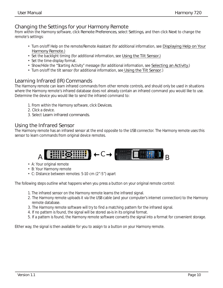## <span id="page-11-0"></span>**Changing the Settings for your Harmony Remote**

From within the Harmony software, click Remote Preferences, select Settings, and then click Next to change the remote's settings:

- Turn on/off Help on the remote/Remote Assistant (for additional information, see [Displaying Help on Your](#page-6-0) Harmony Remote.)
- Set the backlight timing (for additional information, see [Using the Tilt Sensor.](#page-5-0))
- Set the time-display format.
- Show/Hide the "Starting Activity" message (for additional information, see [Selecting an Activity.](#page-5-0))
- Turn on/off the tilt sensor (for additional information, see [Using the Tilt Sensor](#page-5-0).)

## **Learning Infrared (IR) Commands**

The Harmony remote can learn infrared commands from other remote controls, and should only be used in situations where the Harmony remote's infrared database does not already contain an infrared command you would like to use. Determine the device you would like to send the infrared command to:

- 1. From within the Harmony software, click Devices.
- 2. Click a device.
- 3. Select Learn infrared commands.

### **Using the Infrared Sensor**

The Harmony remote has an infrared sensor at the end opposite to the USB connector. The Harmony remote uses this sensor to learn commands from original device remotes.



- A: Your original remote
- B: Your Harmony remote
- C: Distance between remotes: 5-10 cm (2"-5") apart

The following steps outline what happens when you press a button on your original remote control:

- 1. The infrared sensor on the Harmony remote learns the infrared signal.
- 2. The Harmony remote uploads it via the USB cable (and your computer's internet connection) to the Harmony remote database.
- 3. The Harmony remote software will try to find a matching pattern for the infrared signal.
- 4. If no pattern is found, the signal will be stored as-is in its original format.
- 5. If a pattern is found, the Harmony remote software converts the signal into a format for convenient storage.

Either way, the signal is then available for you to assign to a button on your Harmony remote.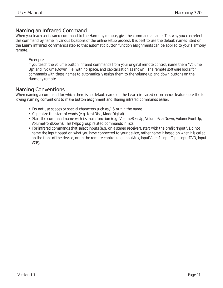## <span id="page-12-0"></span>**Naming an Infrared Command**

When you teach an infrared command to the Harmony remote, give the command a name. This way you can refer to this command by name in various locations of the online setup process. It is best to use the default names listed on the Learn infrared commands step so that automatic button function assignments can be applied to your Harmony remote.

#### Example

 If you teach the volume button infrared commands from your original remote control, name them "Volume Up" and "VolumeDown" (i.e. with no space, and capitalization as shown). The remote software looks for commands with these names to automatically assign them to the volume up and down buttons on the Harmony remote.

## **Naming Conventions**

When naming a command for which there is no default name on the Learn infrared commands feature, use the following naming conventions to make button assignment and sharing infrared commands easier:

- Do not use spaces or special characters such as /, & or \* in the name.
- Capitalize the start of words (e.g. NextDisc, ModeDigital).
- Start the command name with its main function (e.g. VolumeRearUp, VolumeRearDown, VolumeFrontUp, VolumeFrontDown). This helps group related commands in lists.
- For infrared commands that select inputs (e.g. on a stereo receiver), start with the prefix "Input". Do not name the input based on what you have connected to your device, rather name it based on what it is called on the front of the device, or on the remote control (e.g. InputAux, InputVideo1, InputTape, InputDVD, Input VCR).